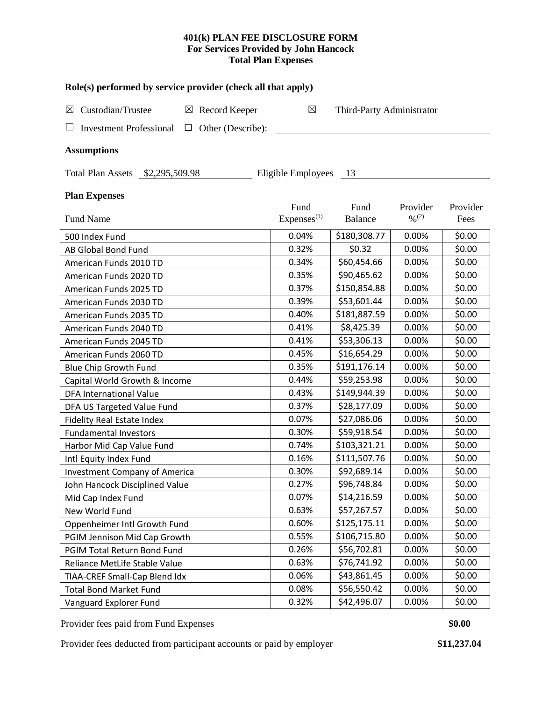## **401(k) PLAN FEE DISCLOSURE FORM For Services Provided by John Hancock Total Plan Expenses**

| Role(s) performed by service provider (check all that apply)             |                                |                           |                                          |                  |  |  |  |  |  |  |  |
|--------------------------------------------------------------------------|--------------------------------|---------------------------|------------------------------------------|------------------|--|--|--|--|--|--|--|
| Custodian/Trustee<br>Record Keeper<br>$\boxtimes$<br>$\boxtimes$         | $\boxtimes$                    | Third-Party Administrator |                                          |                  |  |  |  |  |  |  |  |
| Other (Describe):<br><b>Investment Professional</b><br>□                 |                                |                           |                                          |                  |  |  |  |  |  |  |  |
| <b>Assumptions</b>                                                       |                                |                           |                                          |                  |  |  |  |  |  |  |  |
| Eligible Employees<br><b>Total Plan Assets</b><br>\$2,295,509.98<br>- 13 |                                |                           |                                          |                  |  |  |  |  |  |  |  |
| <b>Plan Expenses</b>                                                     |                                |                           |                                          |                  |  |  |  |  |  |  |  |
| <b>Fund Name</b>                                                         | Fund<br>Express <sup>(1)</sup> | Fund<br>Balance           | Provider<br>$\frac{9}{6}$ <sup>(2)</sup> | Provider<br>Fees |  |  |  |  |  |  |  |
| 500 Index Fund                                                           | 0.04%                          | \$180,308.77              | 0.00%                                    | \$0.00           |  |  |  |  |  |  |  |
| AB Global Bond Fund                                                      | 0.32%                          | \$0.32                    | 0.00%                                    | \$0.00           |  |  |  |  |  |  |  |
| American Funds 2010 TD                                                   | 0.34%                          | \$60,454.66               | 0.00%                                    | \$0.00           |  |  |  |  |  |  |  |
| American Funds 2020 TD                                                   | 0.35%                          | \$90,465.62               | 0.00%                                    | \$0.00           |  |  |  |  |  |  |  |
| American Funds 2025 TD                                                   | 0.37%                          | \$150,854.88              | 0.00%                                    | \$0.00           |  |  |  |  |  |  |  |
| American Funds 2030 TD                                                   | 0.39%                          | \$53,601.44               | 0.00%                                    | \$0.00           |  |  |  |  |  |  |  |
| American Funds 2035 TD                                                   | 0.40%                          | \$181,887.59              | 0.00%                                    | \$0.00           |  |  |  |  |  |  |  |
| American Funds 2040 TD                                                   | 0.41%                          | \$8,425.39                | 0.00%                                    | \$0.00           |  |  |  |  |  |  |  |
| American Funds 2045 TD                                                   | 0.41%                          | \$53,306.13               | 0.00%                                    | \$0.00           |  |  |  |  |  |  |  |
| American Funds 2060 TD                                                   | 0.45%                          | \$16,654.29               | 0.00%                                    | \$0.00           |  |  |  |  |  |  |  |
| Blue Chip Growth Fund                                                    | 0.35%                          | \$191,176.14              | 0.00%                                    | \$0.00           |  |  |  |  |  |  |  |
| Capital World Growth & Income                                            | 0.44%                          | \$59,253.98               | 0.00%                                    | \$0.00           |  |  |  |  |  |  |  |
| <b>DFA International Value</b>                                           | 0.43%                          | \$149,944.39              | 0.00%                                    | \$0.00           |  |  |  |  |  |  |  |
| DFA US Targeted Value Fund                                               | 0.37%                          | \$28,177.09               | 0.00%                                    | \$0.00           |  |  |  |  |  |  |  |
| <b>Fidelity Real Estate Index</b>                                        | 0.07%                          | \$27,086.06               | 0.00%                                    | \$0.00           |  |  |  |  |  |  |  |
| <b>Fundamental Investors</b>                                             | 0.30%                          | \$59,918.54               | 0.00%                                    | \$0.00           |  |  |  |  |  |  |  |
| Harbor Mid Cap Value Fund                                                | 0.74%                          | \$103,321.21              | 0.00%                                    | \$0.00           |  |  |  |  |  |  |  |
| Intl Equity Index Fund                                                   | 0.16%                          | \$111,507.76              | 0.00%                                    | \$0.00           |  |  |  |  |  |  |  |
| <b>Investment Company of America</b>                                     | 0.30%                          | \$92,689.14               | 0.00%                                    | \$0.00           |  |  |  |  |  |  |  |
| John Hancock Disciplined Value                                           | 0.27%                          | \$96,748.84               | 0.00%                                    | \$0.00           |  |  |  |  |  |  |  |
| Mid Cap Index Fund                                                       | 0.07%                          | \$14,216.59               | 0.00%                                    | \$0.00           |  |  |  |  |  |  |  |
| New World Fund                                                           | 0.63%                          | \$57,267.57               | 0.00%                                    | \$0.00           |  |  |  |  |  |  |  |
| Oppenheimer Intl Growth Fund                                             | 0.60%                          | \$125,175.11              | 0.00%                                    | \$0.00           |  |  |  |  |  |  |  |
| PGIM Jennison Mid Cap Growth                                             | 0.55%                          | \$106,715.80              | 0.00%                                    | \$0.00           |  |  |  |  |  |  |  |
| PGIM Total Return Bond Fund                                              | 0.26%                          | \$56,702.81               | 0.00%                                    | \$0.00           |  |  |  |  |  |  |  |
| Reliance MetLife Stable Value                                            | 0.63%                          | \$76,741.92               | 0.00%                                    | \$0.00           |  |  |  |  |  |  |  |
| TIAA-CREF Small-Cap Blend Idx                                            | 0.06%                          | \$43,861.45               | 0.00%                                    | \$0.00           |  |  |  |  |  |  |  |
| <b>Total Bond Market Fund</b>                                            | 0.08%                          | \$56,550.42               | 0.00%                                    | \$0.00           |  |  |  |  |  |  |  |
| Vanguard Explorer Fund                                                   | 0.32%                          | \$42,496.07               | 0.00%                                    | \$0.00           |  |  |  |  |  |  |  |

Provider fees paid from Fund Expenses **\$0.00**

Provider fees deducted from participant accounts or paid by employer **\$11,237.04**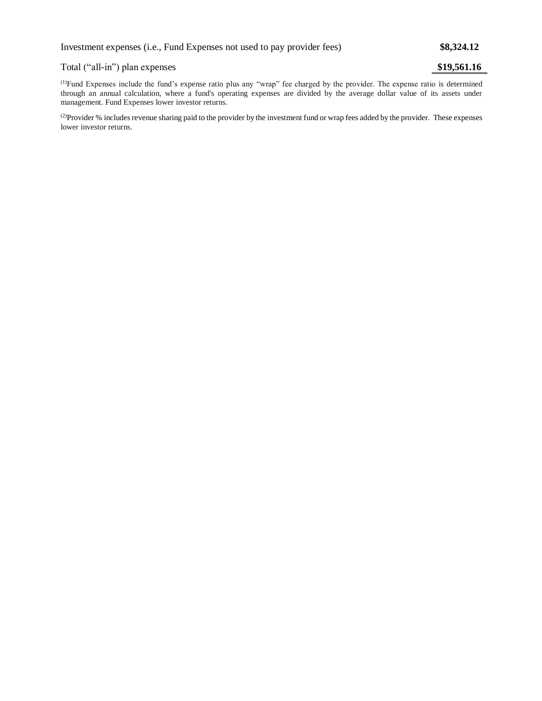## Total ("all-in") plan expenses **\$19,561.16**

(1)Fund Expenses include the fund's expense ratio plus any "wrap" fee charged by the provider. The expense ratio is determined through an annual calculation, where a fund's operating expenses are divided by the average dollar value of its assets under management. Fund Expenses lower investor returns.

<sup>(2)</sup>Provider % includes revenue sharing paid to the provider by the investment fund or wrap fees added by the provider. These expenses lower investor returns.